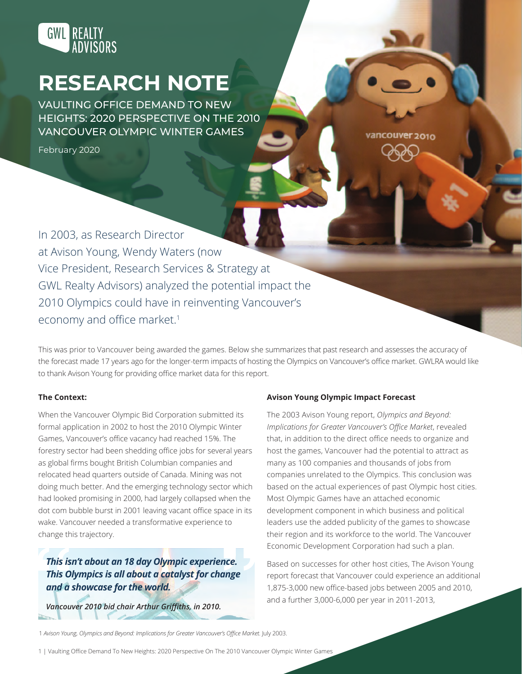

# **RESEARCH NOTE**

VAULTING OFFICE DEMAND TO NEW HEIGHTS: 2020 PERSPECTIVE ON THE 2010 VANCOUVER OLYMPIC WINTER GAMES

February 2020

In 2003, as Research Director at Avison Young, Wendy Waters (now Vice President, Research Services & Strategy at GWL Realty Advisors) analyzed the potential impact the 2010 Olympics could have in reinventing Vancouver's economy and office market.<sup>1</sup>

This was prior to Vancouver being awarded the games. Below she summarizes that past research and assesses the accuracy of the forecast made 17 years ago for the longer-term impacts of hosting the Olympics on Vancouver's office market. GWLRA would like to thank Avison Young for providing office market data for this report.

## **The Context:**

When the Vancouver Olympic Bid Corporation submitted its formal application in 2002 to host the 2010 Olympic Winter Games, Vancouver's office vacancy had reached 15%. The forestry sector had been shedding office jobs for several years as global firms bought British Columbian companies and relocated head quarters outside of Canada. Mining was not doing much better. And the emerging technology sector which had looked promising in 2000, had largely collapsed when the dot com bubble burst in 2001 leaving vacant office space in its wake. Vancouver needed a transformative experience to change this trajectory.

*This isn't about an 18 day Olympic experience. This Olympics is all about a catalyst for change and a showcase for the world.*

*Vancouver 2010 bid chair Arthur Griffiths, in 2010.* 

## **Avison Young Olympic Impact Forecast**

The 2003 Avison Young report, *Olympics and Beyond: Implications for Greater Vancouver's Office Market*, revealed that, in addition to the direct office needs to organize and host the games, Vancouver had the potential to attract as many as 100 companies and thousands of jobs from companies unrelated to the Olympics. This conclusion was based on the actual experiences of past Olympic host cities. Most Olympic Games have an attached economic development component in which business and political leaders use the added publicity of the games to showcase their region and its workforce to the world. The Vancouver Economic Development Corporation had such a plan.

vancouver 2010

Based on successes for other host cities, The Avison Young report forecast that Vancouver could experience an additional 1,875-3,000 new office-based jobs between 2005 and 2010, and a further 3,000-6,000 per year in 2011-2013,

1 *Avison Young, Olympics and Beyond: Implications for Greater Vancouver's Office Market.* July 2003.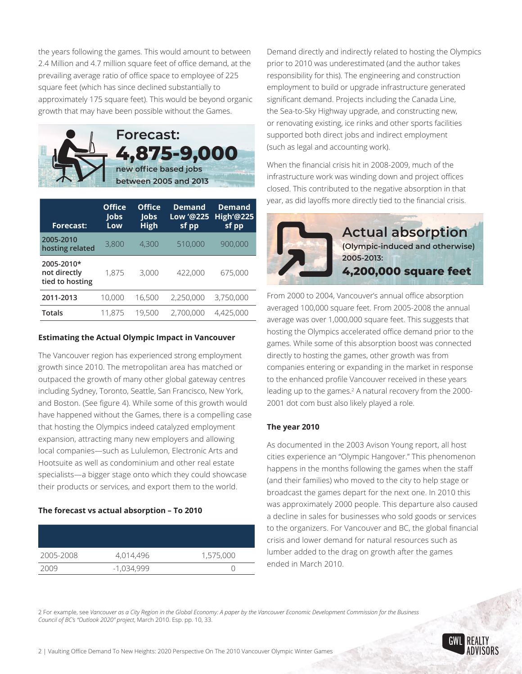the years following the games. This would amount to between 2.4 Million and 4.7 million square feet of office demand, at the prevailing average ratio of office space to employee of 225 square feet (which has since declined substantially to approximately 175 square feet). This would be beyond organic growth that may have been possible without the Games.



| <b>Forecast:</b>                              | <b>Office</b><br><b>lobs</b><br>Low | <b>Office</b><br><b>lobs</b><br><b>High</b> | <b>Demand</b><br>Low '@225<br>sf pp | <b>Demand</b><br><b>High'@225</b><br>sf pp |
|-----------------------------------------------|-------------------------------------|---------------------------------------------|-------------------------------------|--------------------------------------------|
| 2005-2010<br>hosting related                  | 3,800                               | 4,300                                       | 510,000                             | 900,000                                    |
| 2005-2010*<br>not directly<br>tied to hosting | 1,875                               | 3,000                                       | 422,000                             | 675,000                                    |
| 2011-2013                                     | 10,000                              | 16,500                                      | 2,250,000                           | 3,750,000                                  |
| <b>Totals</b>                                 | 11,875                              | 19,500                                      | 2,700,000                           | 4,425,000                                  |

## **Estimating the Actual Olympic Impact in Vancouver**

The Vancouver region has experienced strong employment growth since 2010. The metropolitan area has matched or outpaced the growth of many other global gateway centres including Sydney, Toronto, Seattle, San Francisco, New York, and Boston. (See figure 4). While some of this growth would have happened without the Games, there is a compelling case that hosting the Olympics indeed catalyzed employment expansion, attracting many new employers and allowing local companies—such as Lululemon, Electronic Arts and Hootsuite as well as condominium and other real estate specialists—a bigger stage onto which they could showcase their products or services, and export them to the world.

## **The forecast vs actual absorption – To 2010**

| 2005-2008 | 4,014,496  | 1,575,000 |
|-----------|------------|-----------|
| 2009      | -1,034,999 |           |

Demand directly and indirectly related to hosting the Olympics prior to 2010 was underestimated (and the author takes responsibility for this). The engineering and construction employment to build or upgrade infrastructure generated significant demand. Projects including the Canada Line, the Sea-to-Sky Highway upgrade, and constructing new, or renovating existing, ice rinks and other sports facilities supported both direct jobs and indirect employment (such as legal and accounting work).

When the financial crisis hit in 2008-2009, much of the infrastructure work was winding down and project offices closed. This contributed to the negative absorption in that year, as did layoffs more directly tied to the financial crisis.



From 2000 to 2004, Vancouver's annual office absorption averaged 100,000 square feet. From 2005-2008 the annual average was over 1,000,000 square feet. This suggests that hosting the Olympics accelerated office demand prior to the games. While some of this absorption boost was connected directly to hosting the games, other growth was from companies entering or expanding in the market in response to the enhanced profile Vancouver received in these years leading up to the games.<sup>2</sup> A natural recovery from the 2000-2001 dot com bust also likely played a role.

## **The year 2010**

As documented in the 2003 Avison Young report, all host cities experience an "Olympic Hangover." This phenomenon happens in the months following the games when the staff (and their families) who moved to the city to help stage or broadcast the games depart for the next one. In 2010 this was approximately 2000 people. This departure also caused a decline in sales for businesses who sold goods or services to the organizers. For Vancouver and BC, the global financial crisis and lower demand for natural resources such as lumber added to the drag on growth after the games ended in March 2010.

2 For example, see *Vancouver as a City Region in the Global Economy: A paper by the Vancouver Economic Development Commission for the Business Council of BC's "Outlook 2020" project*, March 2010. Esp. pp. 10, 33.



2 | Vaulting Office Demand To New Heights: 2020 Perspective On The 2010 Vancouver Olympic Winter Games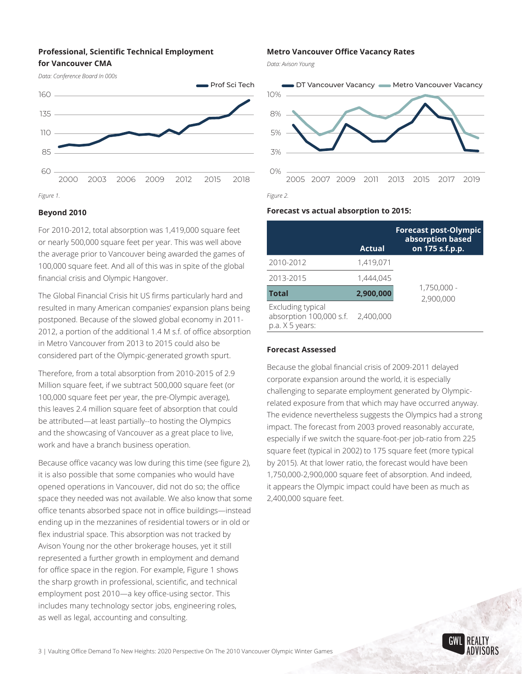## **Professional, Scientific Technical Employment for Vancouver CMA**



## **Beyond 2010**

For 2010-2012, total absorption was 1,419,000 square feet or nearly 500,000 square feet per year. This was well above the average prior to Vancouver being awarded the games of 100,000 square feet. And all of this was in spite of the global financial crisis and Olympic Hangover.

The Global Financial Crisis hit US firms particularly hard and resulted in many American companies' expansion plans being postponed. Because of the slowed global economy in 2011- 2012, a portion of the additional 1.4 M s.f. of office absorption in Metro Vancouver from 2013 to 2015 could also be considered part of the Olympic-generated growth spurt.

Therefore, from a total absorption from 2010-2015 of 2.9 Million square feet, if we subtract 500,000 square feet (or 100,000 square feet per year, the pre-Olympic average), this leaves 2.4 million square feet of absorption that could be attributed—at least partially--to hosting the Olympics and the showcasing of Vancouver as a great place to live, work and have a branch business operation.

Because office vacancy was low during this time (see figure 2), it is also possible that some companies who would have opened operations in Vancouver, did not do so; the office space they needed was not available. We also know that some office tenants absorbed space not in office buildings—instead ending up in the mezzanines of residential towers or in old or flex industrial space. This absorption was not tracked by Avison Young nor the other brokerage houses, yet it still represented a further growth in employment and demand for office space in the region. For example, Figure 1 shows the sharp growth in professional, scientific, and technical employment post 2010—a key office-using sector. This includes many technology sector jobs, engineering roles, as well as legal, accounting and consulting.

#### **Metro Vancouver Office Vacancy Rates**

*Data: Avison Young*



#### **Forecast vs actual absorption to 2015:**

|                                                                 | <b>Actual</b> | <b>Forecast post-Olympic</b><br>absorption based<br>on 175 s.f.p.p. |  |
|-----------------------------------------------------------------|---------------|---------------------------------------------------------------------|--|
| 2010-2012                                                       | 1,419,071     | 1,750,000 -<br>2,900,000                                            |  |
| 2013-2015                                                       | 1,444,045     |                                                                     |  |
| <b>Total</b>                                                    | 2,900,000     |                                                                     |  |
| Excluding typical<br>absorption 100,000 s.f.<br>p.a. X 5 years: | 2,400,000     |                                                                     |  |

#### **Forecast Assessed**

Because the global financial crisis of 2009-2011 delayed corporate expansion around the world, it is especially challenging to separate employment generated by Olympicrelated exposure from that which may have occurred anyway. The evidence nevertheless suggests the Olympics had a strong impact. The forecast from 2003 proved reasonably accurate, especially if we switch the square-foot-per job-ratio from 225 square feet (typical in 2002) to 175 square feet (more typical by 2015). At that lower ratio, the forecast would have been 1,750,000-2,900,000 square feet of absorption. And indeed, it appears the Olympic impact could have been as much as 2,400,000 square feet.

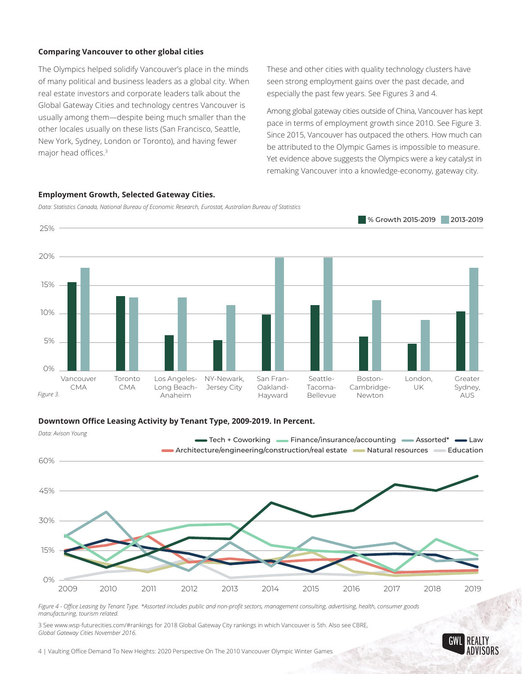## **Comparing Vancouver to other global cities**

The Olympics helped solidify Vancouver's place in the minds of many political and business leaders as a global city. When real estate investors and corporate leaders talk about the Global Gateway Cities and technology centres Vancouver is usually among them—despite being much smaller than the other locales usually on these lists (San Francisco, Seattle, New York, Sydney, London or Toronto), and having fewer major head offices.<sup>3</sup>

These and other cities with quality technology clusters have seen strong employment gains over the past decade, and especially the past few years. See Figures 3 and 4.

Among global gateway cities outside of China, Vancouver has kept pace in terms of employment growth since 2010. See Figure 3. Since 2015, Vancouver has outpaced the others. How much can be attributed to the Olympic Games is impossible to measure. Yet evidence above suggests the Olympics were a key catalyst in remaking Vancouver into a knowledge-economy, gateway city.



## **Employment Growth, Selected Gateway Cities.**

*Data: Statistics Canada, National Bureau of Economic Research, Eurostat, Australian Bureau of Statistics*

## **Downtown Office Leasing Activity by Tenant Type, 2009-2019. In Percent.**



*Figure 4 - Office Leasing by Tenant Type. \*Assorted includes public and non-profit sectors, management consulting, advertising, health, consumer goods manufacturing, tourism related.* 

3 See www.wsp-futurecities.com/#rankings for 2018 Global Gateway City rankings in which Vancouver is 5th. Also see CBRE, *Global Gateway Cities November 2016.*



4 | Vaulting Office Demand To New Heights: 2020 Perspective On The 2010 Vancouver Olympic Winter Games